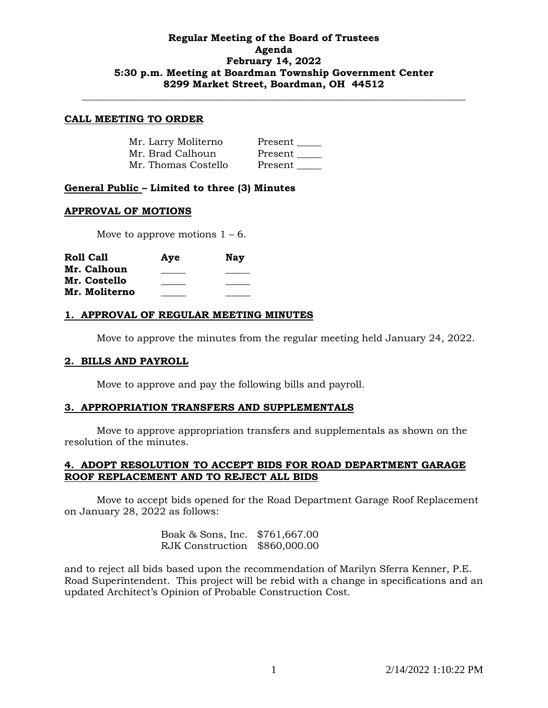# **Regular Meeting of the Board of Trustees Agenda February 14, 2022 5:30 p.m. Meeting at Boardman Township Government Center 8299 Market Street, Boardman, OH 44512**

**\_\_\_\_\_\_\_\_\_\_\_\_\_\_\_\_\_\_\_\_\_\_\_\_\_\_\_\_\_\_\_\_\_\_\_\_\_\_\_\_\_\_\_\_\_\_\_\_\_\_\_\_\_\_\_\_\_\_\_\_\_\_\_\_\_\_\_\_\_\_\_\_\_\_\_\_\_\_**

#### **CALL MEETING TO ORDER**

| Mr. Larry Moliterno | Present |
|---------------------|---------|
| Mr. Brad Calhoun    | Present |
| Mr. Thomas Costello | Present |

# **General Public – Limited to three (3) Minutes**

### **APPROVAL OF MOTIONS**

Move to approve motions  $1 - 6$ .

| <b>Roll Call</b> | Aye | <b>Nay</b> |
|------------------|-----|------------|
| Mr. Calhoun      |     |            |
| Mr. Costello     |     |            |
| Mr. Moliterno    |     |            |

### **1. APPROVAL OF REGULAR MEETING MINUTES**

Move to approve the minutes from the regular meeting held January 24, 2022.

### **2. BILLS AND PAYROLL**

Move to approve and pay the following bills and payroll.

### **3. APPROPRIATION TRANSFERS AND SUPPLEMENTALS**

Move to approve appropriation transfers and supplementals as shown on the resolution of the minutes.

# **4. ADOPT RESOLUTION TO ACCEPT BIDS FOR ROAD DEPARTMENT GARAGE ROOF REPLACEMENT AND TO REJECT ALL BIDS**

Move to accept bids opened for the Road Department Garage Roof Replacement on January 28, 2022 as follows:

> Boak & Sons, Inc. \$761,667.00 RJK Construction \$860,000.00

and to reject all bids based upon the recommendation of Marilyn Sferra Kenner, P.E. Road Superintendent. This project will be rebid with a change in specifications and an updated Architect's Opinion of Probable Construction Cost.